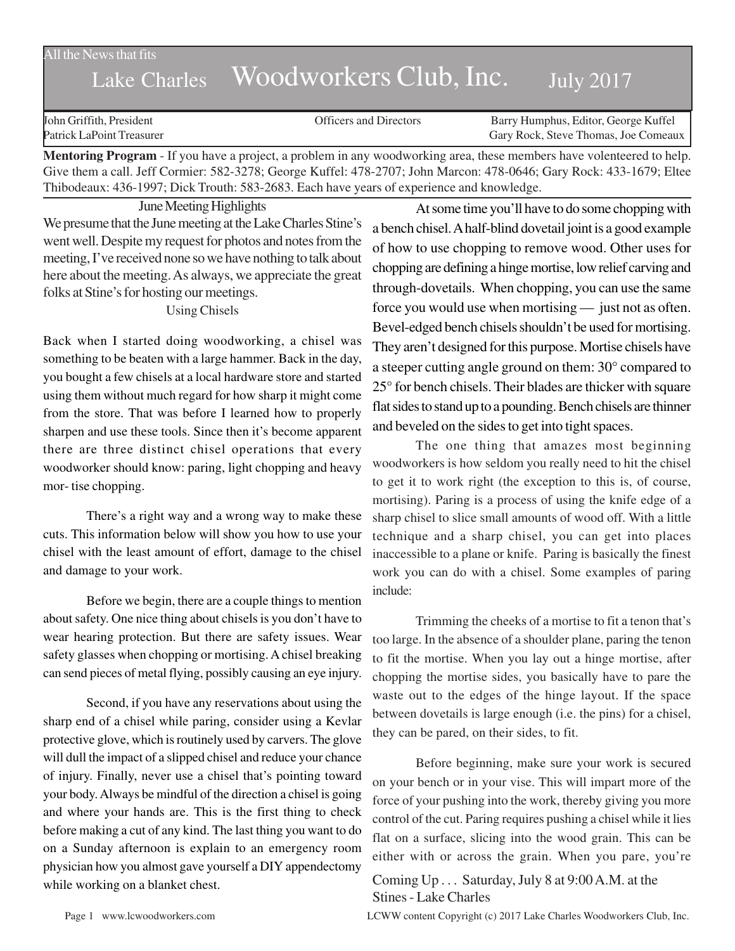All the News that fits

# Lake Charles Woodworkers Club, Inc. July 2017

| John Griffith, President  | Officers and Directors | Barry Humphus, Editor, George Kuffel |
|---------------------------|------------------------|--------------------------------------|
| Patrick LaPoint Treasurer |                        | Gary Rock, Steve Thomas, Joe Comeaux |
| <b>M m</b>                |                        |                                      |

**Mentoring Program** - If you have a project, a problem in any woodworking area, these members have volenteered to help. Give them a call. Jeff Cormier: 582-3278; George Kuffel: 478-2707; John Marcon: 478-0646; Gary Rock: 433-1679; Eltee Thibodeaux: 436-1997; Dick Trouth: 583-2683. Each have years of experience and knowledge.

June Meeting Highlights We presume that the June meeting at the Lake Charles Stine's went well. Despite my request for photos and notes from the meeting, I've received none so we have nothing to talk about here about the meeting. As always, we appreciate the great folks at Stine's for hosting our meetings.

#### Using Chisels

Back when I started doing woodworking, a chisel was something to be beaten with a large hammer. Back in the day, you bought a few chisels at a local hardware store and started using them without much regard for how sharp it might come from the store. That was before I learned how to properly sharpen and use these tools. Since then it's become apparent there are three distinct chisel operations that every woodworker should know: paring, light chopping and heavy mor- tise chopping.

There's a right way and a wrong way to make these cuts. This information below will show you how to use your chisel with the least amount of effort, damage to the chisel and damage to your work.

Before we begin, there are a couple things to mention about safety. One nice thing about chisels is you don't have to wear hearing protection. But there are safety issues. Wear safety glasses when chopping or mortising. A chisel breaking can send pieces of metal flying, possibly causing an eye injury.

Second, if you have any reservations about using the sharp end of a chisel while paring, consider using a Kevlar protective glove, which is routinely used by carvers. The glove will dull the impact of a slipped chisel and reduce your chance of injury. Finally, never use a chisel that's pointing toward your body. Always be mindful of the direction a chisel is going and where your hands are. This is the first thing to check before making a cut of any kind. The last thing you want to do on a Sunday afternoon is explain to an emergency room physician how you almost gave yourself a DIY appendectomy while working on a blanket chest.

At some time you'll have to do some chopping with a bench chisel. A half-blind dovetail joint is a good example of how to use chopping to remove wood. Other uses for chopping are defining a hinge mortise, low relief carving and through-dovetails. When chopping, you can use the same force you would use when mortising — just not as often. Bevel-edged bench chisels shouldn't be used for mortising. They aren't designed for this purpose. Mortise chisels have a steeper cutting angle ground on them: 30° compared to 25° for bench chisels. Their blades are thicker with square flat sides to stand up to a pounding. Bench chisels are thinner and beveled on the sides to get into tight spaces.

The one thing that amazes most beginning woodworkers is how seldom you really need to hit the chisel to get it to work right (the exception to this is, of course, mortising). Paring is a process of using the knife edge of a sharp chisel to slice small amounts of wood off. With a little technique and a sharp chisel, you can get into places inaccessible to a plane or knife. Paring is basically the finest work you can do with a chisel. Some examples of paring include:

Trimming the cheeks of a mortise to fit a tenon that's too large. In the absence of a shoulder plane, paring the tenon to fit the mortise. When you lay out a hinge mortise, after chopping the mortise sides, you basically have to pare the waste out to the edges of the hinge layout. If the space between dovetails is large enough (i.e. the pins) for a chisel, they can be pared, on their sides, to fit.

Before beginning, make sure your work is secured on your bench or in your vise. This will impart more of the force of your pushing into the work, thereby giving you more control of the cut. Paring requires pushing a chisel while it lies flat on a surface, slicing into the wood grain. This can be either with or across the grain. When you pare, you're

## Coming Up . . . Saturday, July 8 at 9:00 A.M. at the Stines - Lake Charles

Page 1 www.lcwoodworkers.com LCWW content Copyright (c) 2017 Lake Charles Woodworkers Club, Inc.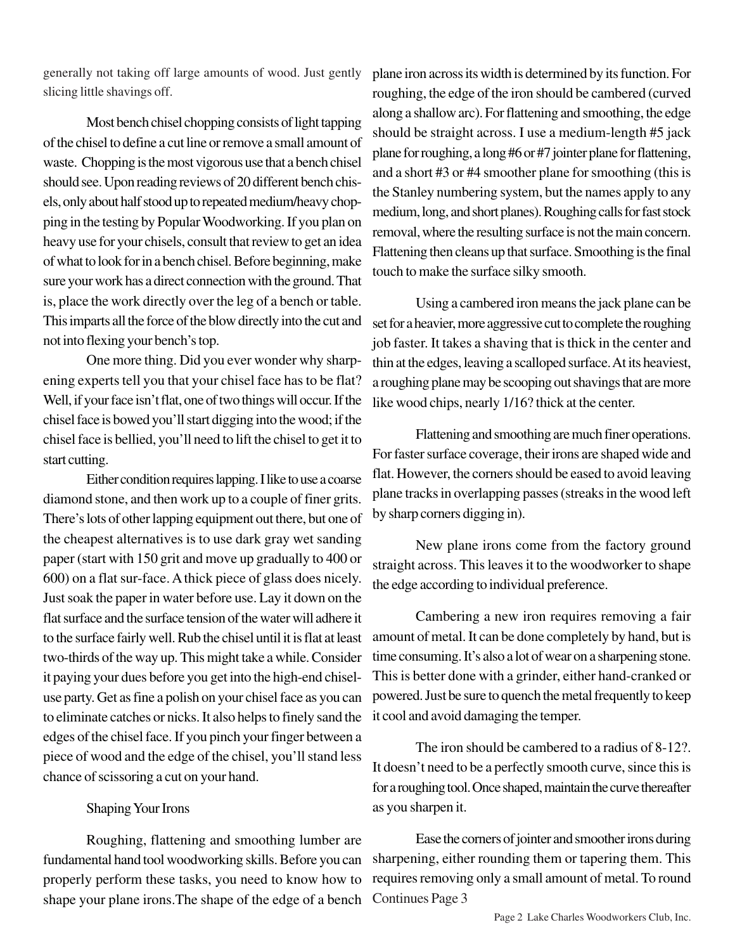generally not taking off large amounts of wood. Just gently slicing little shavings off.

Most bench chisel chopping consists of light tapping of the chisel to define a cut line or remove a small amount of waste. Chopping is the most vigorous use that a bench chisel should see. Upon reading reviews of 20 different bench chisels, only about half stood up to repeated medium/heavy chopping in the testing by Popular Woodworking. If you plan on heavy use for your chisels, consult that review to get an idea of what to look for in a bench chisel. Before beginning, make sure your work has a direct connection with the ground. That is, place the work directly over the leg of a bench or table. This imparts all the force of the blow directly into the cut and not into flexing your bench's top.

One more thing. Did you ever wonder why sharpening experts tell you that your chisel face has to be flat? Well, if your face isn't flat, one of two things will occur. If the chisel face is bowed you'll start digging into the wood; if the chisel face is bellied, you'll need to lift the chisel to get it to start cutting.

Either condition requires lapping. I like to use a coarse diamond stone, and then work up to a couple of finer grits. There's lots of other lapping equipment out there, but one of the cheapest alternatives is to use dark gray wet sanding paper (start with 150 grit and move up gradually to 400 or 600) on a flat sur-face. A thick piece of glass does nicely. Just soak the paper in water before use. Lay it down on the flat surface and the surface tension of the water will adhere it to the surface fairly well. Rub the chisel until it is flat at least two-thirds of the way up. This might take a while. Consider it paying your dues before you get into the high-end chiseluse party. Get as fine a polish on your chisel face as you can to eliminate catches or nicks. It also helps to finely sand the edges of the chisel face. If you pinch your finger between a piece of wood and the edge of the chisel, you'll stand less chance of scissoring a cut on your hand.

### Shaping Your Irons

Roughing, flattening and smoothing lumber are fundamental hand tool woodworking skills. Before you can properly perform these tasks, you need to know how to shape your plane irons.The shape of the edge of a bench Continues Page 3

plane iron across its width is determined by its function. For roughing, the edge of the iron should be cambered (curved along a shallow arc). For flattening and smoothing, the edge should be straight across. I use a medium-length #5 jack plane for roughing, a long #6 or #7 jointer plane for flattening, and a short #3 or #4 smoother plane for smoothing (this is the Stanley numbering system, but the names apply to any medium, long, and short planes). Roughing calls for fast stock removal, where the resulting surface is not the main concern. Flattening then cleans up that surface. Smoothing is the final touch to make the surface silky smooth.

Using a cambered iron means the jack plane can be set for a heavier, more aggressive cut to complete the roughing job faster. It takes a shaving that is thick in the center and thin at the edges, leaving a scalloped surface. At its heaviest, a roughing plane may be scooping out shavings that are more like wood chips, nearly 1/16? thick at the center.

Flattening and smoothing are much finer operations. For faster surface coverage, their irons are shaped wide and flat. However, the corners should be eased to avoid leaving plane tracks in overlapping passes (streaks in the wood left by sharp corners digging in).

New plane irons come from the factory ground straight across. This leaves it to the woodworker to shape the edge according to individual preference.

Cambering a new iron requires removing a fair amount of metal. It can be done completely by hand, but is time consuming. It's also a lot of wear on a sharpening stone. This is better done with a grinder, either hand-cranked or powered. Just be sure to quench the metal frequently to keep it cool and avoid damaging the temper.

The iron should be cambered to a radius of 8-12?. It doesn't need to be a perfectly smooth curve, since this is for a roughing tool. Once shaped, maintain the curve thereafter as you sharpen it.

Ease the corners of jointer and smoother irons during sharpening, either rounding them or tapering them. This requires removing only a small amount of metal. To round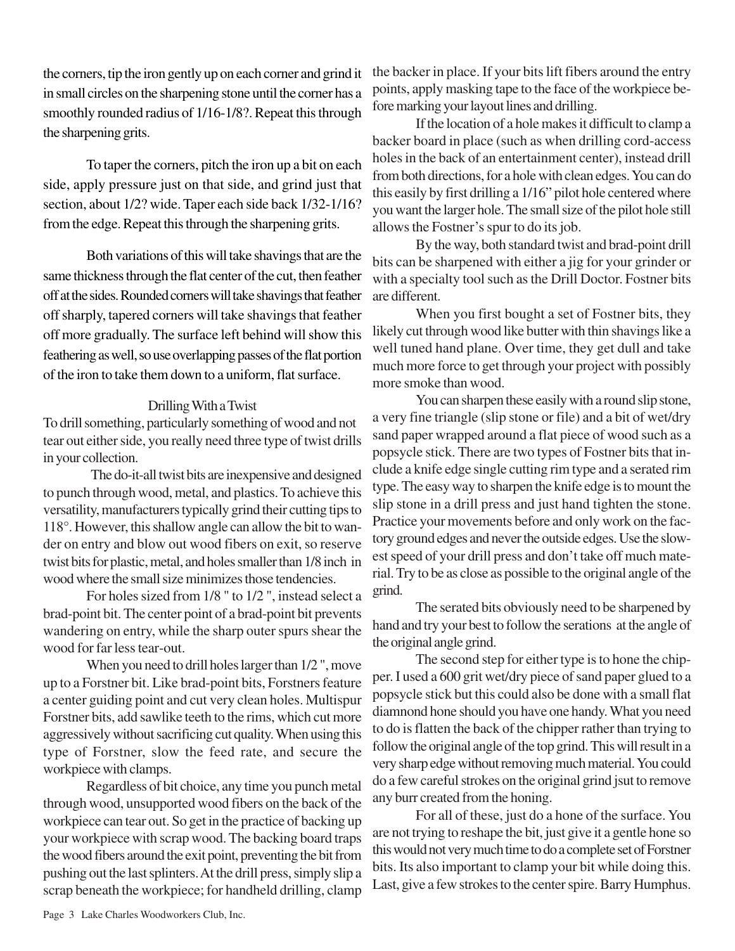the corners, tip the iron gently up on each corner and grind it in small circles on the sharpening stone until the corner has a smoothly rounded radius of 1/16-1/8?. Repeat this through the sharpening grits.

To taper the corners, pitch the iron up a bit on each side, apply pressure just on that side, and grind just that section, about 1/2? wide. Taper each side back 1/32-1/16? from the edge. Repeat this through the sharpening grits.

Both variations of this will take shavings that are the same thickness through the flat center of the cut, then feather off at the sides. Rounded corners will take shavings that feather off sharply, tapered corners will take shavings that feather off more gradually. The surface left behind will show this feathering as well, so use overlapping passes of the flat portion of the iron to take them down to a uniform, flat surface.

### Drilling With a Twist

To drill something, particularly something of wood and not tear out either side, you really need three type of twist drills in your collection.

 The do-it-all twist bits are inexpensive and designed to punch through wood, metal, and plastics. To achieve this versatility, manufacturers typically grind their cutting tips to 118°. However, this shallow angle can allow the bit to wander on entry and blow out wood fibers on exit, so reserve twist bits for plastic, metal, and holes smaller than 1/8 inch in wood where the small size minimizes those tendencies.

For holes sized from 1/8 " to 1/2 ", instead select a brad-point bit. The center point of a brad-point bit prevents wandering on entry, while the sharp outer spurs shear the wood for far less tear-out.

When you need to drill holes larger than 1/2 ", move up to a Forstner bit. Like brad-point bits, Forstners feature a center guiding point and cut very clean holes. Multispur Forstner bits, add sawlike teeth to the rims, which cut more aggressively without sacrificing cut quality. When using this type of Forstner, slow the feed rate, and secure the workpiece with clamps.

Regardless of bit choice, any time you punch metal through wood, unsupported wood fibers on the back of the workpiece can tear out. So get in the practice of backing up your workpiece with scrap wood. The backing board traps the wood fibers around the exit point, preventing the bit from pushing out the last splinters. At the drill press, simply slip a scrap beneath the workpiece; for handheld drilling, clamp

the backer in place. If your bits lift fibers around the entry points, apply masking tape to the face of the workpiece before marking your layout lines and drilling.

If the location of a hole makes it difficult to clamp a backer board in place (such as when drilling cord-access holes in the back of an entertainment center), instead drill from both directions, for a hole with clean edges. You can do this easily by first drilling a 1/16" pilot hole centered where you want the larger hole. The small size of the pilot hole still allows the Fostner's spur to do its job.

By the way, both standard twist and brad-point drill bits can be sharpened with either a jig for your grinder or with a specialty tool such as the Drill Doctor. Fostner bits are different.

When you first bought a set of Fostner bits, they likely cut through wood like butter with thin shavings like a well tuned hand plane. Over time, they get dull and take much more force to get through your project with possibly more smoke than wood.

You can sharpen these easily with a round slip stone, a very fine triangle (slip stone or file) and a bit of wet/dry sand paper wrapped around a flat piece of wood such as a popsycle stick. There are two types of Fostner bits that include a knife edge single cutting rim type and a serated rim type. The easy way to sharpen the knife edge is to mount the slip stone in a drill press and just hand tighten the stone. Practice your movements before and only work on the factory ground edges and never the outside edges. Use the slowest speed of your drill press and don't take off much material. Try to be as close as possible to the original angle of the grind.

The serated bits obviously need to be sharpened by hand and try your best to follow the serations at the angle of the original angle grind.

The second step for either type is to hone the chipper. I used a 600 grit wet/dry piece of sand paper glued to a popsycle stick but this could also be done with a small flat diamnond hone should you have one handy. What you need to do is flatten the back of the chipper rather than trying to follow the original angle of the top grind. This will result in a very sharp edge without removing much material. You could do a few careful strokes on the original grind jsut to remove any burr created from the honing.

For all of these, just do a hone of the surface. You are not trying to reshape the bit, just give it a gentle hone so this would not very much time to do a complete set of Forstner bits. Its also important to clamp your bit while doing this. Last, give a few strokes to the center spire. Barry Humphus.